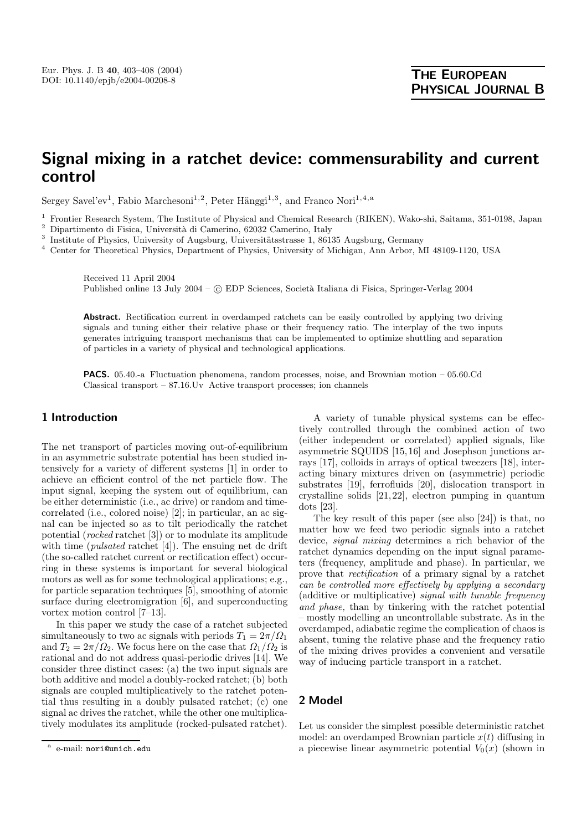# **Signal mixing in a ratchet device: commensurability and current control**

Sergey Savel'ev<sup>1</sup>, Fabio Marchesoni<sup>1,2</sup>, Peter Hänggi<sup>1,3</sup>, and Franco Nori<sup>1,4,a</sup>

<sup>1</sup> Frontier Research System, The Institute of Physical and Chemical Research (RIKEN), Wako-shi, Saitama, 351-0198, Japan

 $^{\rm 2}$  Dipartimento di Fisica, Università di Camerino, 62032 Camerino, Italy

 $3$  Institute of Physics, University of Augsburg, Universitätsstrasse 1, 86135 Augsburg, Germany

<sup>4</sup> Center for Theoretical Physics, Department of Physics, University of Michigan, Ann Arbor, MI 48109-1120, USA

Received 11 April 2004 Published online 13 July 2004 – © EDP Sciences, Società Italiana di Fisica, Springer-Verlag 2004

**Abstract.** Rectification current in overdamped ratchets can be easily controlled by applying two driving signals and tuning either their relative phase or their frequency ratio. The interplay of the two inputs generates intriguing transport mechanisms that can be implemented to optimize shuttling and separation of particles in a variety of physical and technological applications.

**PACS.** 05.40.-a Fluctuation phenomena, random processes, noise, and Brownian motion – 05.60.Cd Classical transport – 87.16.Uv Active transport processes; ion channels

# **1 Introduction**

The net transport of particles moving out-of-equilibrium in an asymmetric substrate potential has been studied intensively for a variety of different systems [1] in order to achieve an efficient control of the net particle flow. The input signal, keeping the system out of equilibrium, can be either deterministic (i.e., ac drive) or random and timecorrelated (i.e., colored noise) [2]; in particular, an ac signal can be injected so as to tilt periodically the ratchet potential (*rocked* ratchet [3]) or to modulate its amplitude with time *(pulsated* ratchet [4]). The ensuing net dc drift (the so-called ratchet current or rectification effect) occurring in these systems is important for several biological motors as well as for some technological applications; e.g., for particle separation techniques [5], smoothing of atomic surface during electromigration [6], and superconducting vortex motion control [7–13].

In this paper we study the case of a ratchet subjected simultaneously to two ac signals with periods  $T_1 = 2\pi/\Omega_1$ and  $T_2 = 2\pi/\Omega_2$ . We focus here on the case that  $\Omega_1/\Omega_2$  is rational and do not address quasi-periodic drives [14]. We consider three distinct cases: (a) the two input signals are both additive and model a doubly-rocked ratchet; (b) both signals are coupled multiplicatively to the ratchet potential thus resulting in a doubly pulsated ratchet; (c) one signal ac drives the ratchet, while the other one multiplicatively modulates its amplitude (rocked-pulsated ratchet).

A variety of tunable physical systems can be effectively controlled through the combined action of two (either independent or correlated) applied signals, like asymmetric SQUIDS [15,16] and Josephson junctions arrays [17], colloids in arrays of optical tweezers [18], interacting binary mixtures driven on (asymmetric) periodic substrates [19], ferrofluids [20], dislocation transport in crystalline solids [21,22], electron pumping in quantum dots [23].

The key result of this paper (see also [24]) is that, no matter how we feed two periodic signals into a ratchet device, *signal mixing* determines a rich behavior of the ratchet dynamics depending on the input signal parameters (frequency, amplitude and phase). In particular, we prove that *rectification* of a primary signal by a ratchet *can be controlled more effectively by applying a secondary* (additive or multiplicative) *signal with tunable frequency and phase,* than by tinkering with the ratchet potential – mostly modelling an uncontrollable substrate. As in the overdamped, adiabatic regime the complication of chaos is absent, tuning the relative phase and the frequency ratio of the mixing drives provides a convenient and versatile way of inducing particle transport in a ratchet.

# **2 Model**

Let us consider the simplest possible deterministic ratchet model: an overdamped Brownian particle  $x(t)$  diffusing in a piecewise linear asymmetric potential  $V_0(x)$  (shown in

e-mail: nori@umich.edu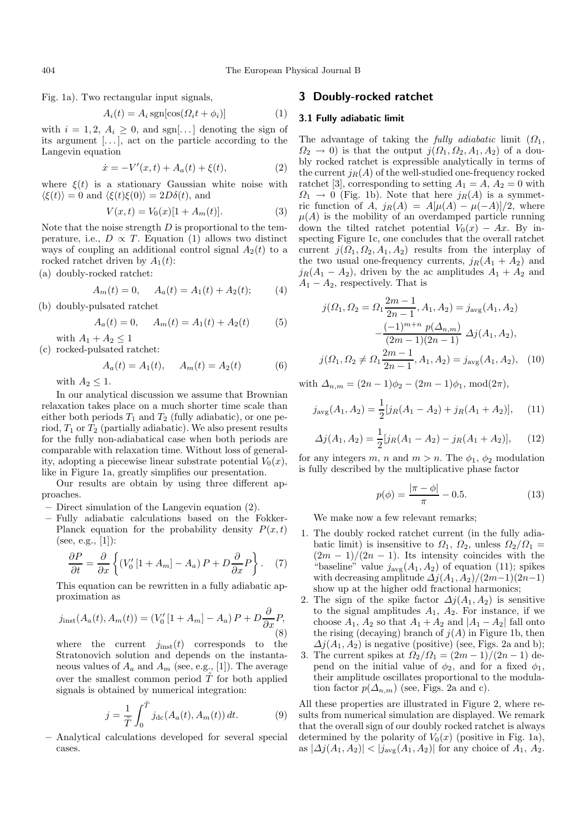404 The European Physical Journal B

Fig. 1a). Two rectangular input signals,

$$
A_i(t) = A_i \operatorname{sgn}[\cos(\Omega_i t + \phi_i)] \tag{1}
$$

with  $i = 1, 2, A_i \geq 0$ , and sgn[...] denoting the sign of its argument [... ], act on the particle according to the Langevin equation

$$
\dot{x} = -V'(x, t) + A_a(t) + \xi(t), \tag{2}
$$

where  $\xi(t)$  is a stationary Gaussian white noise with  $\langle \xi(t) \rangle = 0$  and  $\langle \xi(t) \xi(0) \rangle = 2D\delta(t)$ , and

$$
V(x,t) = V_0(x)[1 + A_m(t)].
$$
\n(3)

Note that the noise strength  $D$  is proportional to the temperature, i.e.,  $D \propto T$ . Equation (1) allows two distinct ways of coupling an additional control signal  $A_2(t)$  to a rocked ratchet driven by  $A_1(t)$ :

(a) doubly-rocked ratchet:

$$
A_m(t) = 0, \quad A_a(t) = A_1(t) + A_2(t); \tag{4}
$$

(b) doubly-pulsated ratchet

$$
A_a(t) = 0, \quad A_m(t) = A_1(t) + A_2(t) \tag{5}
$$

with  $A_1 + A_2 \leq 1$ 

(c) rocked-pulsated ratchet:

$$
A_a(t) = A_1(t), \quad A_m(t) = A_2(t) \tag{6}
$$

with  $A_2 \leq 1$ .

In our analytical discussion we assume that Brownian relaxation takes place on a much shorter time scale than either both periods  $T_1$  and  $T_2$  (fully adiabatic), or one period,  $T_1$  or  $T_2$  (partially adiabatic). We also present results for the fully non-adiabatical case when both periods are comparable with relaxation time. Without loss of generality, adopting a piecewise linear substrate potential  $V_0(x)$ , like in Figure 1a, greatly simplifies our presentation.

Our results are obtain by using three different approaches.

- **–** Direct simulation of the Langevin equation (2).
- **–** Fully adiabatic calculations based on the Fokker-Planck equation for the probability density  $P(x, t)$ (see, e.g., [1]):

$$
\frac{\partial P}{\partial t} = \frac{\partial}{\partial x} \left\{ (V_0' \left[ 1 + A_m \right] - A_a) P + D \frac{\partial}{\partial x} P \right\}.
$$
 (7)

This equation can be rewritten in a fully adiabatic approximation as

$$
j_{\text{inst}}(A_a(t), A_m(t)) = (V'_0 \left[1 + A_m\right] - A_a) P + D \frac{\partial}{\partial x} P,
$$
\n(8)

where the current  $j_{inst}(t)$  corresponds to the Stratonovich solution and depends on the instantaneous values of  $A_a$  and  $A_m$  (see, e.g., [1]). The average over the smallest common period  $\tilde{T}$  for both applied signals is obtained by numerical integration:

$$
j = \frac{1}{\tilde{T}} \int_0^{\tilde{T}} j_{\rm dc}(A_a(t), A_m(t)) dt.
$$
 (9)

**–** Analytical calculations developed for several special cases.

### **3 Doubly-rocked ratchet**

## **3.1 Fully adiabatic limit**

The advantage of taking the *fully adiabatic* limit  $(\Omega_1,$  $\Omega_2 \to 0$ ) is that the output  $j(\Omega_1, \Omega_2, A_1, A_2)$  of a doubly rocked ratchet is expressible analytically in terms of the current  $j_R(A)$  of the well-studied one-frequency rocked ratchet [3], corresponding to setting  $A_1 = A$ ,  $A_2 = 0$  with  $\Omega_1 \rightarrow 0$  (Fig. 1b). Note that here  $j_R(A)$  is a symmetric function of A,  $j_R(A) = A[\mu(A) - \mu(-A)]/2$ , where  $\mu(A)$  is the mobility of an overdamped particle running down the tilted ratchet potential  $V_0(x) - Ax$ . By inspecting Figure 1c, one concludes that the overall ratchet current  $j(\Omega_1, \Omega_2, A_1, A_2)$  results from the interplay of the two usual one-frequency currents,  $j_R(A_1 + A_2)$  and  $j_R(A_1 - A_2)$ , driven by the ac amplitudes  $A_1 + A_2$  and  $A_1 - A_2$ , respectively. That is

$$
j(\Omega_1, \Omega_2 = \Omega_1 \frac{2m-1}{2n-1}, A_1, A_2) = j_{\text{avg}}(A_1, A_2)
$$

$$
-\frac{(-1)^{m+n} p(\Delta_{n,m})}{(2m-1)(2n-1)} \Delta j(A_1, A_2),
$$

$$
j(\Omega_1, \Omega_2 \neq \Omega_1 \frac{2m-1}{2n-1}, A_1, A_2) = j_{\text{avg}}(A_1, A_2), \quad (10)
$$

with  $\Delta_{n,m} = (2n-1)\phi_2 - (2m-1)\phi_1$ , mod $(2\pi)$ ,

$$
j_{\text{avg}}(A_1, A_2) = \frac{1}{2} [j_R(A_1 - A_2) + j_R(A_1 + A_2)], \quad (11)
$$

$$
\Delta j(A_1, A_2) = \frac{1}{2} [j_R(A_1 - A_2) - j_R(A_1 + A_2)], \quad (12)
$$

for any integers m, n and  $m > n$ . The  $\phi_1$ ,  $\phi_2$  modulation is fully described by the multiplicative phase factor

$$
p(\phi) = \frac{|\pi - \phi|}{\pi} - 0.5.
$$
 (13)

We make now a few relevant remarks;

- 1. The doubly rocked ratchet current (in the fully adiabatic limit) is insensitive to  $\Omega_1$ ,  $\Omega_2$ , unless  $\Omega_2/\Omega_1$  =  $\left(\frac{2m-1}{2n-1}\right)$ . Its intensity coincides with the "baseline" value  $j_{\text{avg}}(A_1, A_2)$  of equation (11); spikes with decreasing amplitude  $\Delta j(A_1, A_2)/(2m-1)(2n-1)$ show up at the higher odd fractional harmonics;
- 2. The sign of the spike factor  $\Delta j(A_1, A_2)$  is sensitive to the signal amplitudes  $A_1$ ,  $A_2$ . For instance, if we choose  $A_1$ ,  $A_2$  so that  $A_1 + A_2$  and  $|A_1 - A_2|$  fall onto the rising (decaying) branch of  $j(A)$  in Figure 1b, then  $\Delta j(A_1, A_2)$  is negative (positive) (see, Figs. 2a and b);
- 3. The current spikes at  $\Omega_2/\Omega_1 = (2m-1)/(2n-1)$  depend on the initial value of  $\phi_2$ , and for a fixed  $\phi_1$ , their amplitude oscillates proportional to the modulation factor  $p(\Delta_{n,m})$  (see, Figs. 2a and c).

All these properties are illustrated in Figure 2, where results from numerical simulation are displayed. We remark that the overall sign of our doubly rocked ratchet is always determined by the polarity of  $V_0(x)$  (positive in Fig. 1a), as  $|\Delta j(A_1, A_2)| < |j_{\text{avg}}(A_1, A_2)|$  for any choice of  $A_1, A_2$ .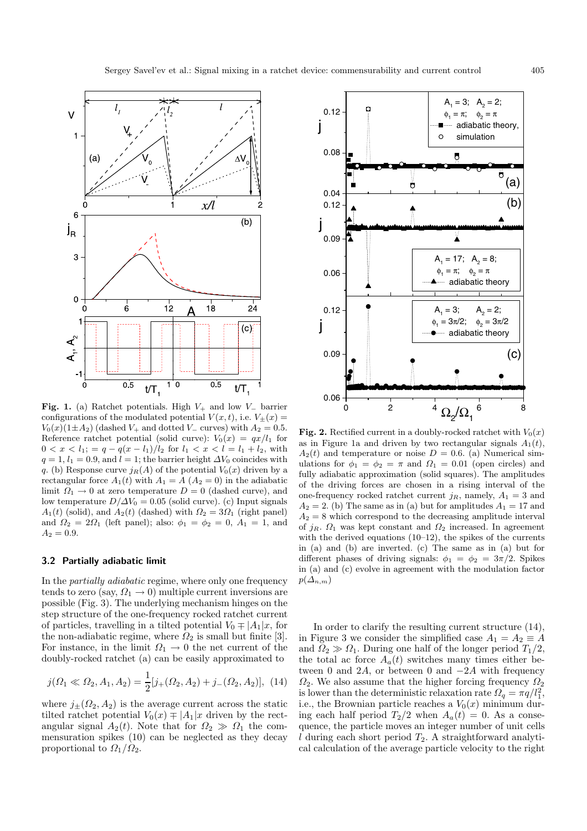

**Fig. 1.** (a) Ratchet potentials. High <sup>V</sup><sup>+</sup> and low <sup>V</sup>*<sup>−</sup>* barrier configurations of the modulated potential  $V(x, t)$ , i.e.  $V_{\pm}(x) =$  $V_0(x)(1\pm A_2)$  (dashed  $V_+$  and dotted  $V_-\$  curves) with  $A_2=0.5$ . Reference ratchet potential (solid curve):  $V_0(x) = qx/l_1$  for  $0 < x < l_1; = q - q(x - l_1)/l_2$  for  $l_1 < x < l = l_1 + l_2$ , with  $q = 1, l_1 = 0.9$ , and  $l = 1$ ; the barrier height  $\Delta V_0$  coincides with q. (b) Response curve  $j_R(A)$  of the potential  $V_0(x)$  driven by a rectangular force  $A_1(t)$  with  $A_1 = A(A_2 = 0)$  in the adiabatic limit  $\Omega_1 \to 0$  at zero temperature  $D = 0$  (dashed curve), and low temperature  $D/\Delta V_0 = 0.05$  (solid curve). (c) Input signals  $A_1(t)$  (solid), and  $A_2(t)$  (dashed) with  $\Omega_2 = 3\Omega_1$  (right panel) and  $\Omega_2 = 2\Omega_1$  (left panel); also:  $\phi_1 = \phi_2 = 0$ ,  $A_1 = 1$ , and  $A_2 = 0.9.$ 

#### **3.2 Partially adiabatic limit**

In the *partially adiabatic* regime, where only one frequency tends to zero (say,  $\Omega_1 \rightarrow 0$ ) multiple current inversions are possible (Fig. 3). The underlying mechanism hinges on the step structure of the one-frequency rocked ratchet current of particles, travelling in a tilted potential  $V_0 \neq |A_1|x$ , for the non-adiabatic regime, where  $\Omega_2$  is small but finite [3]. For instance, in the limit  $\Omega_1 \rightarrow 0$  the net current of the doubly-rocked ratchet (a) can be easily approximated to

$$
j(\Omega_1 \ll \Omega_2, A_1, A_2) = \frac{1}{2} [j_+(\Omega_2, A_2) + j_-(\Omega_2, A_2)], \tag{14}
$$

where  $j_{\pm}(\Omega_2, A_2)$  is the average current across the static tilted ratchet potential  $V_0(x) \mp |A_1|x|$  driven by the rectangular signal  $A_2(t)$ . Note that for  $\Omega_2 \gg \Omega_1$  the commensuration spikes (10) can be neglected as they decay proportional to  $\Omega_1/\Omega_2$ .



**Fig. 2.** Rectified current in a doubly-rocked ratchet with  $V_0(x)$ as in Figure 1a and driven by two rectangular signals  $A_1(t)$ ,  $A_2(t)$  and temperature or noise  $D = 0.6$ . (a) Numerical simulations for  $\phi_1 = \phi_2 = \pi$  and  $\Omega_1 = 0.01$  (open circles) and fully adiabatic approximation (solid squares). The amplitudes of the driving forces are chosen in a rising interval of the one-frequency rocked ratchet current  $j_R$ , namely,  $A_1 = 3$  and  $A_2 = 2$ . (b) The same as in (a) but for amplitudes  $A_1 = 17$  and  $A_2 = 8$  which correspond to the decreasing amplitude interval of  $j_R$ .  $\Omega_1$  was kept constant and  $\Omega_2$  increased. In agreement with the derived equations (10–12), the spikes of the currents in (a) and (b) are inverted. (c) The same as in (a) but for different phases of driving signals:  $\phi_1 = \phi_2 = 3\pi/2$ . Spikes in (a) and (c) evolve in agreement with the modulation factor  $p(\Delta_{n,m})$ 

In order to clarify the resulting current structure (14), in Figure 3 we consider the simplified case  $A_1 = A_2 \equiv A$ and  $\widetilde{Q}_2 \gg \Omega_1$ . During one half of the longer period  $T_1/2$ , the total ac force  $A_a(t)$  switches many times either between 0 and 2A, or between 0 and  $-2A$  with frequency  $\Omega_2$ . We also assume that the higher forcing frequency  $\Omega_2$ is lower than the deterministic relaxation rate  $\Omega_q = \pi q/l_1^2$ , i.e., the Brownian particle reaches a  $V_0(x)$  minimum during each half period  $T_2/2$  when  $A_a(t) = 0$ . As a consequence, the particle moves an integer number of unit cells l during each short period  $T_2$ . A straightforward analytical calculation of the average particle velocity to the right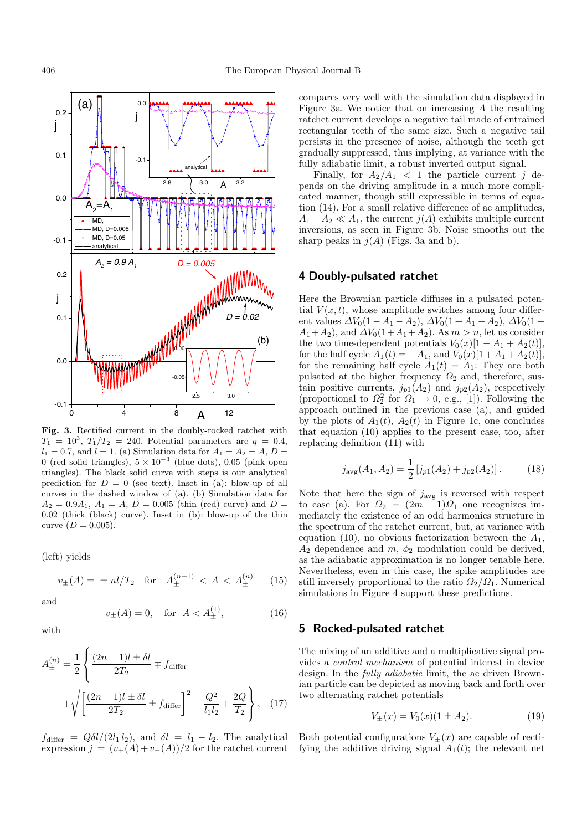

**Fig. 3.** Rectified current in the doubly-rocked ratchet with  $T_1 = 10^3, T_1/T_2 = 240.$  Potential parameters are  $q = 0.4$ ,  $l_1 = 0.7$ , and  $l = 1$ . (a) Simulation data for  $A_1 = A_2 = A$ ,  $D =$ 0 (red solid triangles), 5 <sup>×</sup> <sup>10</sup>*−*<sup>3</sup> (blue dots), 0.05 (pink open triangles). The black solid curve with steps is our analytical prediction for  $D = 0$  (see text). Inset in (a): blow-up of all curves in the dashed window of (a). (b) Simulation data for  $A_2 = 0.9A_1, A_1 = A, D = 0.005$  (thin (red) curve) and  $D =$ 0.02 (thick (black) curve). Inset in (b): blow-up of the thin curve  $(D = 0.005)$ .

(left) yields

$$
v_{\pm}(A) = \pm n l / T_2 \quad \text{for} \quad A_{\pm}^{(n+1)} < A < A_{\pm}^{(n)} \tag{15}
$$

and

$$
v_{\pm}(A) = 0, \quad \text{for } A < A_{\pm}^{(1)}, \tag{16}
$$

with

$$
A_{\pm}^{(n)} = \frac{1}{2} \left\{ \frac{(2n-1)l \pm \delta l}{2T_2} \mp f_{\text{differ}} \right\} + \sqrt{\left[ \frac{(2n-1)l \pm \delta l}{2T_2} \pm f_{\text{differ}} \right]^2 + \frac{Q^2}{l_1 l_2} + \frac{2Q}{T_2}} \right\}, \quad (17)
$$

 $f_{\text{differ}} = Q \delta l/(2l_1 l_2)$ , and  $\delta l = l_1 - l_2$ . The analytical expression  $j = (v_+(A)+v_-(A))/2$  for the ratchet current compares very well with the simulation data displayed in Figure 3a. We notice that on increasing A the resulting ratchet current develops a negative tail made of entrained rectangular teeth of the same size. Such a negative tail persists in the presence of noise, although the teeth get gradually suppressed, thus implying, at variance with the fully adiabatic limit, a robust inverted output signal.

Finally, for  $A_2/A_1 < 1$  the particle current j depends on the driving amplitude in a much more complicated manner, though still expressible in terms of equation (14). For a small relative difference of ac amplitudes,  $A_1 - A_2 \ll A_1$ , the current  $j(A)$  exhibits multiple current inversions, as seen in Figure 3b. Noise smooths out the sharp peaks in  $j(A)$  (Figs. 3a and b).

## **4 Doubly-pulsated ratchet**

Here the Brownian particle diffuses in a pulsated potential  $V(x, t)$ , whose amplitude switches among four different values  $\Delta V_0(1 - A_1 - A_2)$ ,  $\Delta V_0(1 + A_1 - A_2)$ ,  $\Delta V_0(1 A_1+A_2$ , and  $\Delta V_0(1+A_1+A_2)$ . As  $m>n$ , let us consider the two time-dependent potentials  $V_0(x)[1 - A_1 + A_2(t)],$ for the half cycle  $A_1(t) = -A_1$ , and  $V_0(x)[1 + A_1 + A_2(t)],$ for the remaining half cycle  $A_1(t) = A_1$ : They are both pulsated at the higher frequency  $\Omega_2$  and, therefore, sustain positive currents,  $j_{p1}(A_2)$  and  $j_{p2}(A_2)$ , respectively (proportional to  $\Omega_2^2$  for  $\Omega_1 \to 0$ , e.g., [1]). Following the approach outlined in the previous case (a), and guided by the plots of  $A_1(t)$ ,  $A_2(t)$  in Figure 1c, one concludes that equation (10) applies to the present case, too, after replacing definition (11) with

$$
j_{\text{avg}}(A_1, A_2) = \frac{1}{2} \left[ j_{p1}(A_2) + j_{p2}(A_2) \right]. \tag{18}
$$

Note that here the sign of  $j_{\text{avg}}$  is reversed with respect to case (a). For  $\Omega_2 = (2m-1)\Omega_1$  one recognizes immediately the existence of an odd harmonics structure in the spectrum of the ratchet current, but, at variance with equation (10), no obvious factorization between the  $A_1$ ,  $A_2$  dependence and  $m$ ,  $\phi_2$  modulation could be derived, as the adiabatic approximation is no longer tenable here. Nevertheless, even in this case, the spike amplitudes are still inversely proportional to the ratio  $\Omega_2/\Omega_1$ . Numerical simulations in Figure 4 support these predictions.

#### **5 Rocked-pulsated ratchet**

The mixing of an additive and a multiplicative signal provides a *control mechanism* of potential interest in device design. In the *fully adiabatic* limit, the ac driven Brownian particle can be depicted as moving back and forth over two alternating ratchet potentials

$$
V_{\pm}(x) = V_0(x)(1 \pm A_2). \tag{19}
$$

Both potential configurations  $V_{\pm}(x)$  are capable of rectifying the additive driving signal  $A_1(t)$ ; the relevant net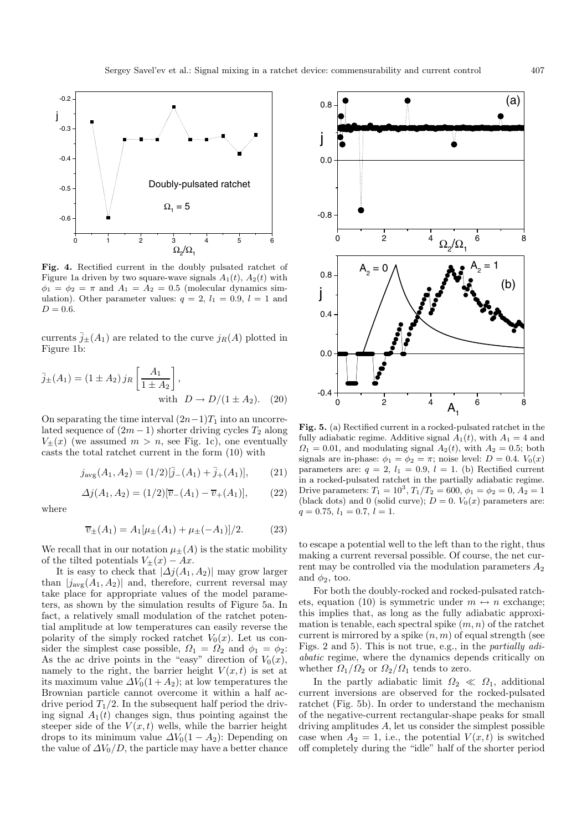

**Fig. 4.** Rectified current in the doubly pulsated ratchet of Figure 1a driven by two square-wave signals  $A_1(t)$ ,  $A_2(t)$  with  $\phi_1 = \phi_2 = \pi$  and  $A_1 = A_2 = 0.5$  (molecular dynamics simulation). Other parameter values:  $q = 2$ ,  $l_1 = 0.9$ ,  $l = 1$  and  $D = 0.6$ .

currents  $\bar{j}_{\pm}(A_1)$  are related to the curve  $j_R(A)$  plotted in Figure 1b:

$$
\bar{j}_{\pm}(A_1) = (1 \pm A_2) j_R \left[ \frac{A_1}{1 \pm A_2} \right],
$$
  
with  $D \to D/(1 \pm A_2)$ . (20)

On separating the time interval  $(2n-1)T_1$  into an uncorrelated sequence of  $(2m - 1)$  shorter driving cycles  $T_2$  along  $V_{\pm}(x)$  (we assumed  $m>n$ , see Fig. 1c), one eventually casts the total ratchet current in the form (10) with

$$
j_{\text{avg}}(A_1, A_2) = (1/2)[\bar{j}_{-}(A_1) + \bar{j}_{+}(A_1)], \qquad (21)
$$
  

$$
\Delta j(A_1, A_2) = (1/2)[\overline{v}_{-}(A_1) - \overline{v}_{+}(A_1)], \qquad (22)
$$

where

$$
\overline{v}_{\pm}(A_1) = A_1[\mu_{\pm}(A_1) + \mu_{\pm}(-A_1)]/2.
$$
 (23)

We recall that in our notation  $\mu_{\pm}(A)$  is the static mobility of the tilted potentials  $V_{\pm}(x) - Ax$ .

It is easy to check that  $|\Delta j(A_1, A_2)|$  may grow larger than  $|j_{\text{avg}}(A_1, A_2)|$  and, therefore, current reversal may take place for appropriate values of the model parameters, as shown by the simulation results of Figure 5a. In fact, a relatively small modulation of the ratchet potential amplitude at low temperatures can easily reverse the polarity of the simply rocked ratchet  $V_0(x)$ . Let us consider the simplest case possible,  $\Omega_1 = \Omega_2$  and  $\phi_1 = \phi_2$ : As the ac drive points in the "easy" direction of  $V_0(x)$ , namely to the right, the barrier height  $V(x, t)$  is set at its maximum value  $\Delta V_0(1+A_2)$ ; at low temperatures the Brownian particle cannot overcome it within a half acdrive period  $T_1/2$ . In the subsequent half period the driving signal  $A_1(t)$  changes sign, thus pointing against the steeper side of the  $V(x,t)$  wells, while the barrier height drops to its minimum value  $\Delta V_0(1 - A_2)$ : Depending on the value of  $\Delta V_0/D$ , the particle may have a better chance



**Fig. 5.** (a) Rectified current in a rocked-pulsated ratchet in the fully adiabatic regime. Additive signal  $A_1(t)$ , with  $A_1 = 4$  and  $\Omega_1 = 0.01$ , and modulating signal  $A_2(t)$ , with  $A_2 = 0.5$ ; both signals are in-phase:  $\phi_1 = \phi_2 = \pi$ ; noise level:  $D = 0.4$ .  $V_0(x)$ parameters are:  $q = 2$ ,  $l_1 = 0.9$ ,  $l = 1$ . (b) Rectified current in a rocked-pulsated ratchet in the partially adiabatic regime. Drive parameters:  $T_1 = 10^3, T_1/T_2 = 600, \phi_1 = \phi_2 = 0, A_2 = 1$ (black dots) and 0 (solid curve);  $D = 0$ .  $V_0(x)$  parameters are:  $q = 0.75, l_1 = 0.7, l = 1.$ 

to escape a potential well to the left than to the right, thus making a current reversal possible. Of course, the net current may be controlled via the modulation parameters  $A_2$ and  $\phi_2$ , too.

For both the doubly-rocked and rocked-pulsated ratchets, equation (10) is symmetric under  $m \leftrightarrow n$  exchange; this implies that, as long as the fully adiabatic approximation is tenable, each spectral spike  $(m, n)$  of the ratchet current is mirrored by a spike  $(n, m)$  of equal strength (see Figs. 2 and 5). This is not true, e.g., in the *partially adiabatic* regime, where the dynamics depends critically on whether  $\Omega_1/\Omega_2$  or  $\Omega_2/\Omega_1$  tends to zero.

In the partly adiabatic limit  $\Omega_2 \ll \Omega_1$ , additional current inversions are observed for the rocked-pulsated ratchet (Fig. 5b). In order to understand the mechanism of the negative-current rectangular-shape peaks for small driving amplitudes  $A$ , let us consider the simplest possible case when  $A_2 = 1$ , i.e., the potential  $V(x, t)$  is switched off completely during the "idle" half of the shorter period